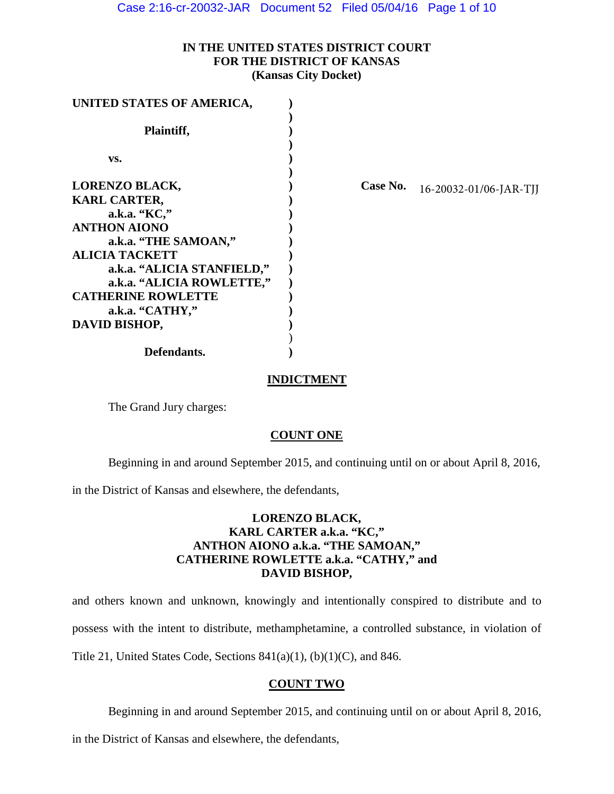Case 2:16-cr-20032-JAR Document 52 Filed 05/04/16 Page 1 of 10

## **IN THE UNITED STATES DISTRICT COURT FOR THE DISTRICT OF KANSAS (Kansas City Docket)**

| UNITED STATES OF AMERICA,  |          |                        |
|----------------------------|----------|------------------------|
| Plaintiff,                 |          |                        |
| VS.                        |          |                        |
| <b>LORENZO BLACK,</b>      | Case No. | 16-20032-01/06-JAR-TJJ |
| <b>KARL CARTER,</b>        |          |                        |
| a.k.a. "KC,"               |          |                        |
| <b>ANTHON AIONO</b>        |          |                        |
| a.k.a. "THE SAMOAN,"       |          |                        |
| <b>ALICIA TACKETT</b>      |          |                        |
| a.k.a. "ALICIA STANFIELD," |          |                        |
| a.k.a. "ALICIA ROWLETTE,"  |          |                        |
| <b>CATHERINE ROWLETTE</b>  |          |                        |
| a.k.a. "CATHY,"            |          |                        |
| DAVID BISHOP,              |          |                        |
| Defendants.                |          |                        |

# **INDICTMENT**

The Grand Jury charges:

## **COUNT ONE**

Beginning in and around September 2015, and continuing until on or about April 8, 2016,

in the District of Kansas and elsewhere, the defendants,

# **LORENZO BLACK, KARL CARTER a.k.a. "KC," ANTHON AIONO a.k.a. "THE SAMOAN," CATHERINE ROWLETTE a.k.a. "CATHY," and DAVID BISHOP,**

and others known and unknown, knowingly and intentionally conspired to distribute and to possess with the intent to distribute, methamphetamine, a controlled substance, in violation of Title 21, United States Code, Sections 841(a)(1), (b)(1)(C), and 846.

# **COUNT TWO**

Beginning in and around September 2015, and continuing until on or about April 8, 2016,

in the District of Kansas and elsewhere, the defendants,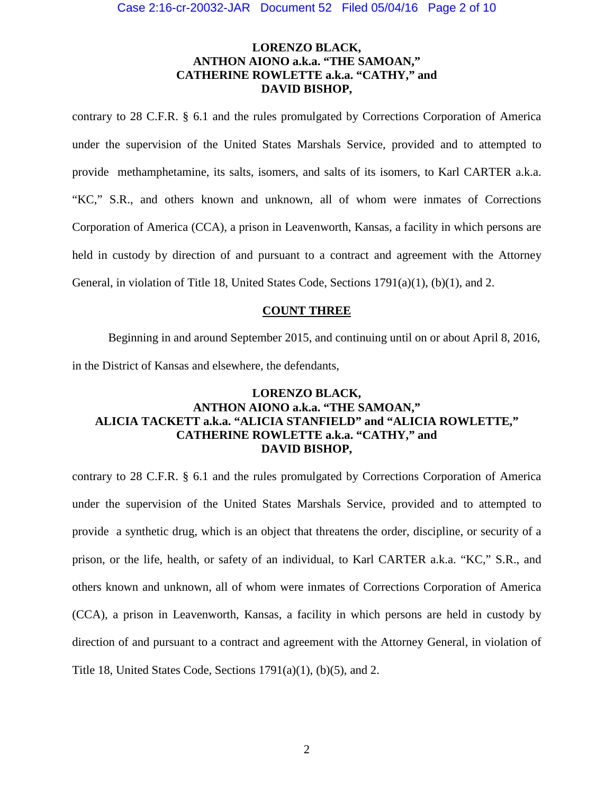# **LORENZO BLACK, ANTHON AIONO a.k.a. "THE SAMOAN," CATHERINE ROWLETTE a.k.a. "CATHY," and DAVID BISHOP,**

contrary to 28 C.F.R. § 6.1 and the rules promulgated by Corrections Corporation of America under the supervision of the United States Marshals Service, provided and to attempted to provide methamphetamine, its salts, isomers, and salts of its isomers, to Karl CARTER a.k.a. "KC," S.R., and others known and unknown, all of whom were inmates of Corrections Corporation of America (CCA), a prison in Leavenworth, Kansas, a facility in which persons are held in custody by direction of and pursuant to a contract and agreement with the Attorney General, in violation of Title 18, United States Code, Sections 1791(a)(1), (b)(1), and 2.

## **COUNT THREE**

Beginning in and around September 2015, and continuing until on or about April 8, 2016, in the District of Kansas and elsewhere, the defendants,

# **LORENZO BLACK, ANTHON AIONO a.k.a. "THE SAMOAN," ALICIA TACKETT a.k.a. "ALICIA STANFIELD" and "ALICIA ROWLETTE," CATHERINE ROWLETTE a.k.a. "CATHY," and DAVID BISHOP,**

contrary to 28 C.F.R. § 6.1 and the rules promulgated by Corrections Corporation of America under the supervision of the United States Marshals Service, provided and to attempted to provide a synthetic drug, which is an object that threatens the order, discipline, or security of a prison, or the life, health, or safety of an individual, to Karl CARTER a.k.a. "KC," S.R., and others known and unknown, all of whom were inmates of Corrections Corporation of America (CCA), a prison in Leavenworth, Kansas, a facility in which persons are held in custody by direction of and pursuant to a contract and agreement with the Attorney General, in violation of Title 18, United States Code, Sections 1791(a)(1), (b)(5), and 2.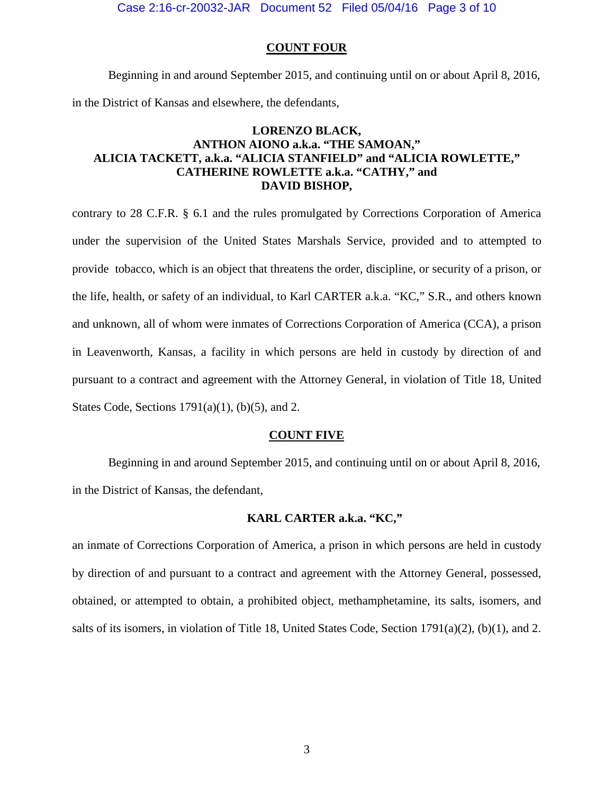Case 2:16-cr-20032-JAR Document 52 Filed 05/04/16 Page 3 of 10

### **COUNT FOUR**

Beginning in and around September 2015, and continuing until on or about April 8, 2016, in the District of Kansas and elsewhere, the defendants,

# **LORENZO BLACK, ANTHON AIONO a.k.a. "THE SAMOAN," ALICIA TACKETT, a.k.a. "ALICIA STANFIELD" and "ALICIA ROWLETTE," CATHERINE ROWLETTE a.k.a. "CATHY," and DAVID BISHOP,**

contrary to 28 C.F.R. § 6.1 and the rules promulgated by Corrections Corporation of America under the supervision of the United States Marshals Service, provided and to attempted to provide tobacco, which is an object that threatens the order, discipline, or security of a prison, or the life, health, or safety of an individual, to Karl CARTER a.k.a. "KC," S.R., and others known and unknown, all of whom were inmates of Corrections Corporation of America (CCA), a prison in Leavenworth, Kansas, a facility in which persons are held in custody by direction of and pursuant to a contract and agreement with the Attorney General, in violation of Title 18, United States Code, Sections  $1791(a)(1)$ , (b)(5), and 2.

### **COUNT FIVE**

Beginning in and around September 2015, and continuing until on or about April 8, 2016, in the District of Kansas, the defendant,

### **KARL CARTER a.k.a. "KC,"**

an inmate of Corrections Corporation of America, a prison in which persons are held in custody by direction of and pursuant to a contract and agreement with the Attorney General, possessed, obtained, or attempted to obtain, a prohibited object, methamphetamine, its salts, isomers, and salts of its isomers, in violation of Title 18, United States Code, Section 1791(a)(2), (b)(1), and 2.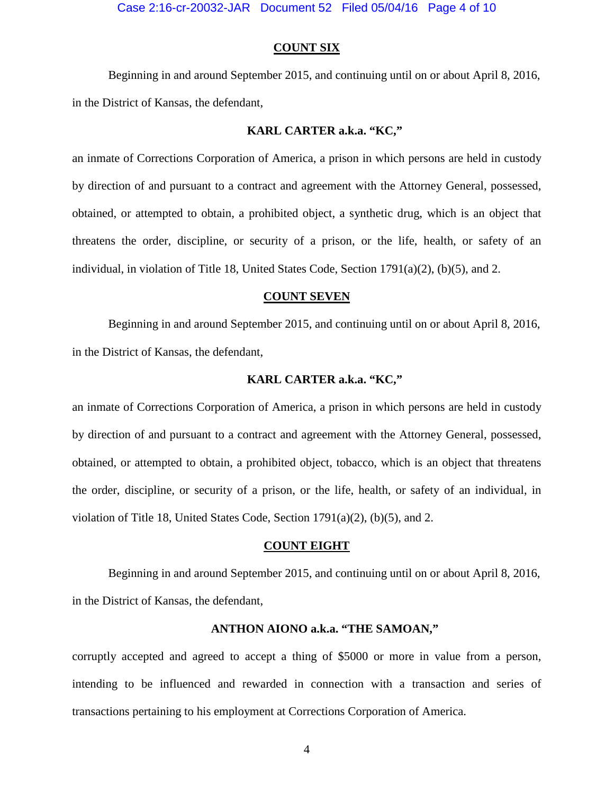### **COUNT SIX**

Beginning in and around September 2015, and continuing until on or about April 8, 2016, in the District of Kansas, the defendant,

### **KARL CARTER a.k.a. "KC,"**

an inmate of Corrections Corporation of America, a prison in which persons are held in custody by direction of and pursuant to a contract and agreement with the Attorney General, possessed, obtained, or attempted to obtain, a prohibited object, a synthetic drug, which is an object that threatens the order, discipline, or security of a prison, or the life, health, or safety of an individual, in violation of Title 18, United States Code, Section  $1791(a)(2)$ , (b)(5), and 2.

### **COUNT SEVEN**

Beginning in and around September 2015, and continuing until on or about April 8, 2016, in the District of Kansas, the defendant,

### **KARL CARTER a.k.a. "KC,"**

an inmate of Corrections Corporation of America, a prison in which persons are held in custody by direction of and pursuant to a contract and agreement with the Attorney General, possessed, obtained, or attempted to obtain, a prohibited object, tobacco, which is an object that threatens the order, discipline, or security of a prison, or the life, health, or safety of an individual, in violation of Title 18, United States Code, Section 1791(a)(2), (b)(5), and 2.

### **COUNT EIGHT**

Beginning in and around September 2015, and continuing until on or about April 8, 2016, in the District of Kansas, the defendant,

# **ANTHON AIONO a.k.a. "THE SAMOAN,"**

corruptly accepted and agreed to accept a thing of \$5000 or more in value from a person, intending to be influenced and rewarded in connection with a transaction and series of transactions pertaining to his employment at Corrections Corporation of America.

4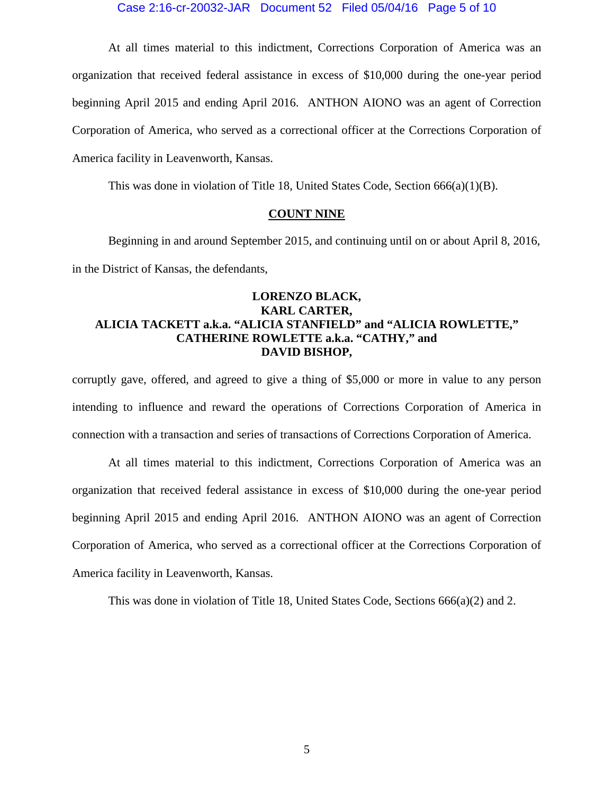### Case 2:16-cr-20032-JAR Document 52 Filed 05/04/16 Page 5 of 10

At all times material to this indictment, Corrections Corporation of America was an organization that received federal assistance in excess of \$10,000 during the one-year period beginning April 2015 and ending April 2016. ANTHON AIONO was an agent of Correction Corporation of America, who served as a correctional officer at the Corrections Corporation of America facility in Leavenworth, Kansas.

This was done in violation of Title 18, United States Code, Section 666(a)(1)(B).

#### **COUNT NINE**

Beginning in and around September 2015, and continuing until on or about April 8, 2016, in the District of Kansas, the defendants,

# **LORENZO BLACK, KARL CARTER, ALICIA TACKETT a.k.a. "ALICIA STANFIELD" and "ALICIA ROWLETTE," CATHERINE ROWLETTE a.k.a. "CATHY," and DAVID BISHOP,**

corruptly gave, offered, and agreed to give a thing of \$5,000 or more in value to any person intending to influence and reward the operations of Corrections Corporation of America in connection with a transaction and series of transactions of Corrections Corporation of America.

At all times material to this indictment, Corrections Corporation of America was an organization that received federal assistance in excess of \$10,000 during the one-year period beginning April 2015 and ending April 2016. ANTHON AIONO was an agent of Correction Corporation of America, who served as a correctional officer at the Corrections Corporation of America facility in Leavenworth, Kansas.

This was done in violation of Title 18, United States Code, Sections 666(a)(2) and 2.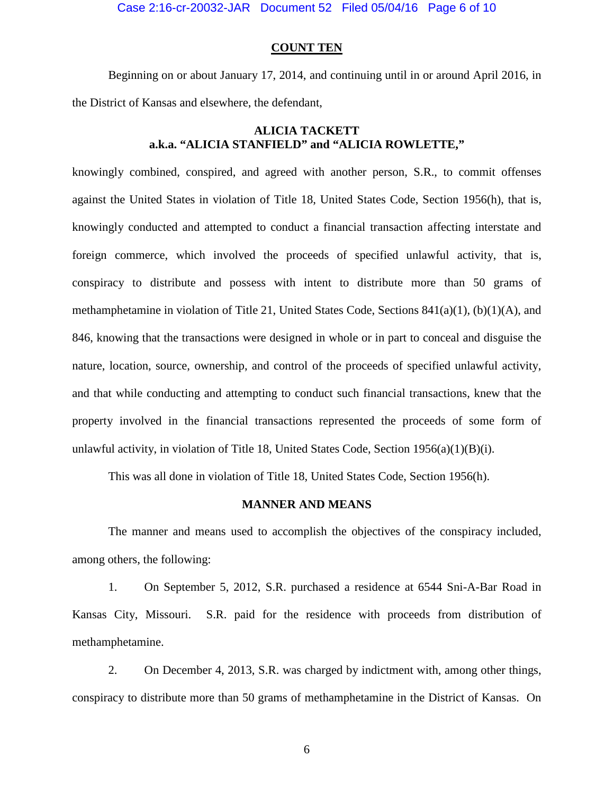Case 2:16-cr-20032-JAR Document 52 Filed 05/04/16 Page 6 of 10

#### **COUNT TEN**

Beginning on or about January 17, 2014, and continuing until in or around April 2016, in the District of Kansas and elsewhere, the defendant,

## **ALICIA TACKETT a.k.a. "ALICIA STANFIELD" and "ALICIA ROWLETTE,"**

knowingly combined, conspired, and agreed with another person, S.R., to commit offenses against the United States in violation of Title 18, United States Code, Section 1956(h), that is, knowingly conducted and attempted to conduct a financial transaction affecting interstate and foreign commerce, which involved the proceeds of specified unlawful activity, that is, conspiracy to distribute and possess with intent to distribute more than 50 grams of methamphetamine in violation of Title 21, United States Code, Sections  $841(a)(1)$ , (b) $(1)(A)$ , and 846, knowing that the transactions were designed in whole or in part to conceal and disguise the nature, location, source, ownership, and control of the proceeds of specified unlawful activity, and that while conducting and attempting to conduct such financial transactions, knew that the property involved in the financial transactions represented the proceeds of some form of unlawful activity, in violation of Title 18, United States Code, Section  $1956(a)(1)(B)(i)$ .

This was all done in violation of Title 18, United States Code, Section 1956(h).

# **MANNER AND MEANS**

The manner and means used to accomplish the objectives of the conspiracy included, among others, the following:

1. On September 5, 2012, S.R. purchased a residence at 6544 Sni-A-Bar Road in Kansas City, Missouri. S.R. paid for the residence with proceeds from distribution of methamphetamine.

2. On December 4, 2013, S.R. was charged by indictment with, among other things, conspiracy to distribute more than 50 grams of methamphetamine in the District of Kansas. On

6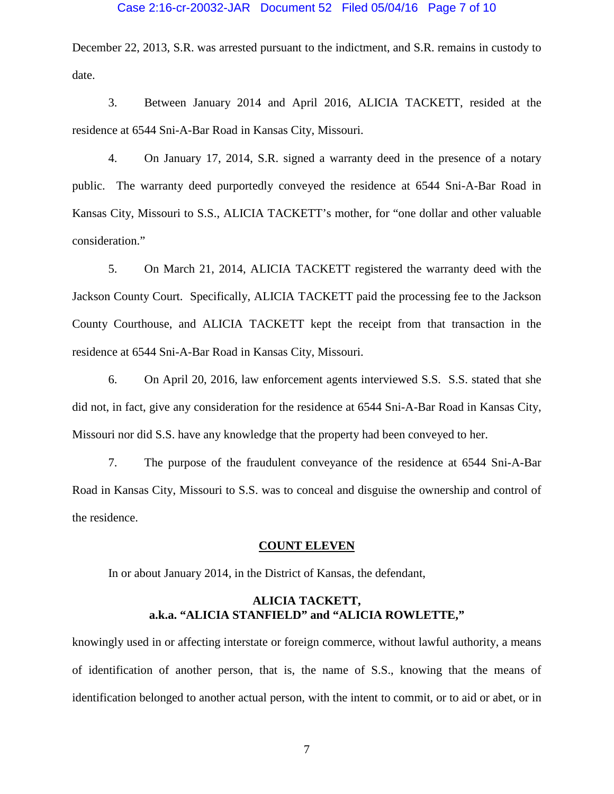### Case 2:16-cr-20032-JAR Document 52 Filed 05/04/16 Page 7 of 10

December 22, 2013, S.R. was arrested pursuant to the indictment, and S.R. remains in custody to date.

3. Between January 2014 and April 2016, ALICIA TACKETT, resided at the residence at 6544 Sni-A-Bar Road in Kansas City, Missouri.

4. On January 17, 2014, S.R. signed a warranty deed in the presence of a notary public. The warranty deed purportedly conveyed the residence at 6544 Sni-A-Bar Road in Kansas City, Missouri to S.S., ALICIA TACKETT's mother, for "one dollar and other valuable consideration."

5. On March 21, 2014, ALICIA TACKETT registered the warranty deed with the Jackson County Court. Specifically, ALICIA TACKETT paid the processing fee to the Jackson County Courthouse, and ALICIA TACKETT kept the receipt from that transaction in the residence at 6544 Sni-A-Bar Road in Kansas City, Missouri.

6. On April 20, 2016, law enforcement agents interviewed S.S. S.S. stated that she did not, in fact, give any consideration for the residence at 6544 Sni-A-Bar Road in Kansas City, Missouri nor did S.S. have any knowledge that the property had been conveyed to her.

7. The purpose of the fraudulent conveyance of the residence at 6544 Sni-A-Bar Road in Kansas City, Missouri to S.S. was to conceal and disguise the ownership and control of the residence.

### **COUNT ELEVEN**

In or about January 2014, in the District of Kansas, the defendant,

## **ALICIA TACKETT, a.k.a. "ALICIA STANFIELD" and "ALICIA ROWLETTE,"**

knowingly used in or affecting interstate or foreign commerce, without lawful authority, a means of identification of another person, that is, the name of S.S., knowing that the means of identification belonged to another actual person, with the intent to commit, or to aid or abet, or in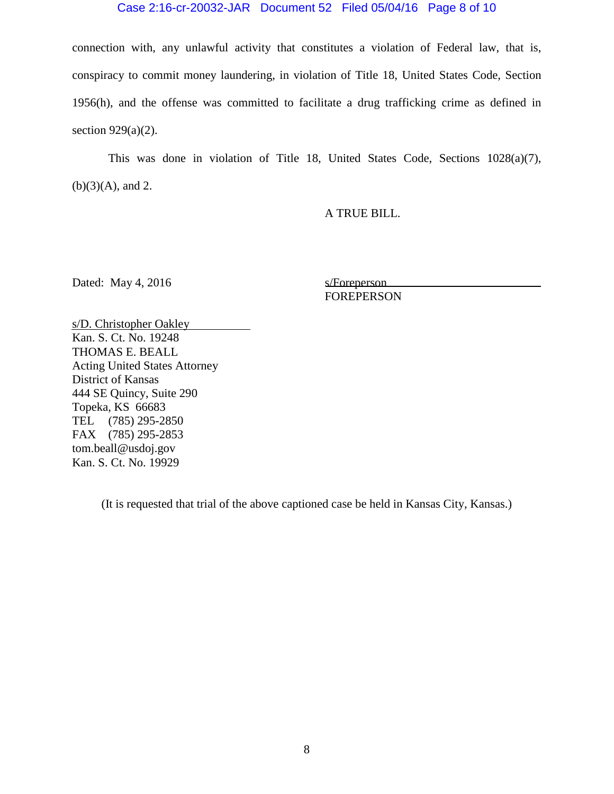### Case 2:16-cr-20032-JAR Document 52 Filed 05/04/16 Page 8 of 10

connection with, any unlawful activity that constitutes a violation of Federal law, that is, conspiracy to commit money laundering, in violation of Title 18, United States Code, Section 1956(h), and the offense was committed to facilitate a drug trafficking crime as defined in section  $929(a)(2)$ .

This was done in violation of Title 18, United States Code, Sections 1028(a)(7),  $(b)(3)(A)$ , and 2.

A TRUE BILL.

Dated: May 4, 2016 s/Foreperson

FOREPERSON

s/D. Christopher Oakley Kan. S. Ct. No. 19248 THOMAS E. BEALL Acting United States Attorney District of Kansas 444 SE Quincy, Suite 290 Topeka, KS 66683 TEL (785) 295-2850 FAX (785) 295-2853 tom.beall@usdoj.gov Kan. S. Ct. No. 19929

(It is requested that trial of the above captioned case be held in Kansas City, Kansas.)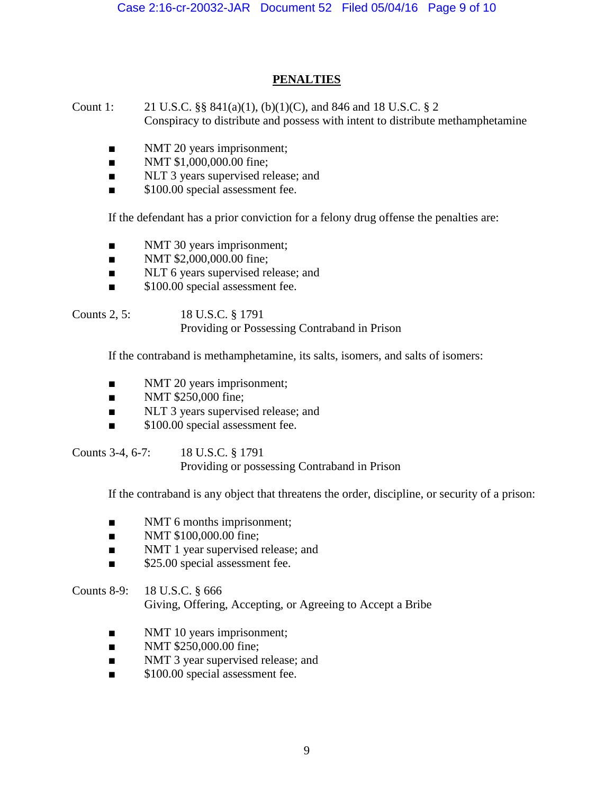# **PENALTIES**

Count 1: 21 U.S.C. §§ 841(a)(1), (b)(1)(C), and 846 and 18 U.S.C. § 2 Conspiracy to distribute and possess with intent to distribute methamphetamine

- NMT 20 years imprisonment;
- NMT \$1,000,000.00 fine;
- NLT 3 years supervised release; and
- \$100.00 special assessment fee.

If the defendant has a prior conviction for a felony drug offense the penalties are:

- NMT 30 years imprisonment;
- NMT \$2,000,000.00 fine;
- NLT 6 years supervised release; and
- \$100.00 special assessment fee.

Counts 2, 5: 18 U.S.C. § 1791 Providing or Possessing Contraband in Prison

If the contraband is methamphetamine, its salts, isomers, and salts of isomers:

- NMT 20 years imprisonment;
- NMT \$250,000 fine;
- NLT 3 years supervised release; and
- \$100.00 special assessment fee.

Counts 3-4, 6-7: 18 U.S.C. § 1791 Providing or possessing Contraband in Prison

If the contraband is any object that threatens the order, discipline, or security of a prison:

- NMT 6 months imprisonment;
- NMT \$100,000.00 fine;
- NMT 1 year supervised release; and
- \$25.00 special assessment fee.

Counts 8-9: 18 U.S.C. § 666 Giving, Offering, Accepting, or Agreeing to Accept a Bribe

- NMT 10 years imprisonment;
- NMT \$250,000.00 fine;
- NMT 3 year supervised release; and
- \$100.00 special assessment fee.